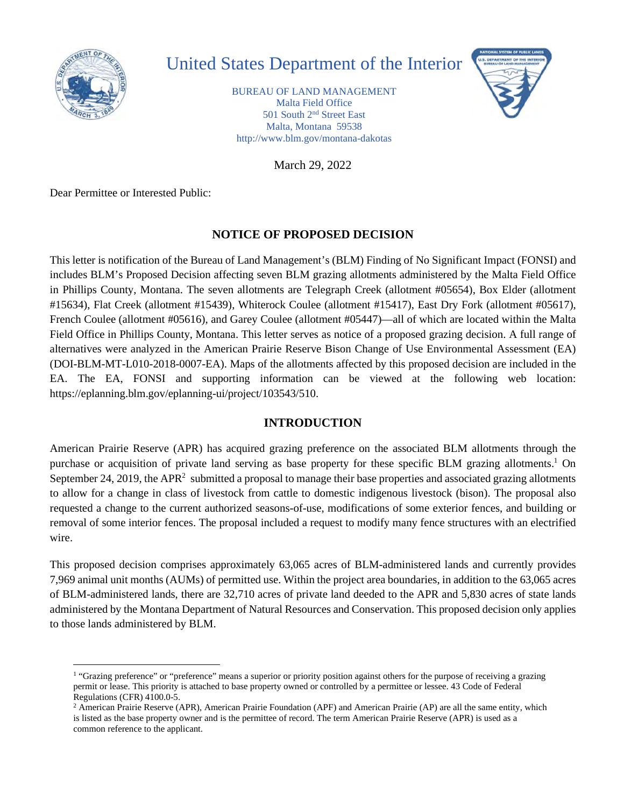

# United States Department of the Interior

BUREAU OF LAND MANAGEMENT Malta Field Office 501 South 2nd Street East Malta, Montana 59538 <http://www.blm.gov/montana-dakotas>

March 29, 2022

Dear Permittee or Interested Public:

# **NOTICE OF PROPOSED DECISION**

This letter is notification of the Bureau of Land Management's (BLM) Finding of No Significant Impact (FONSI) and includes BLM's Proposed Decision affecting seven BLM grazing allotments administered by the Malta Field Office in Phillips County, Montana. The seven allotments are Telegraph Creek (allotment #05654), Box Elder (allotment #15634), Flat Creek (allotment #15439), Whiterock Coulee (allotment #15417), East Dry Fork (allotment #05617), French Coulee (allotment #05616), and Garey Coulee (allotment #05447)—all of which are located within the Malta Field Office in Phillips County, Montana. This letter serves as notice of a proposed grazing decision. A full range of alternatives were analyzed in the American Prairie Reserve Bison Change of Use Environmental Assessment (EA) (DOI-BLM-MT-L010-2018-0007-EA). Maps of the allotments affected by this proposed decision are included in the EA. The EA, FONSI and supporting information can be viewed at the following web location: <https://eplanning.blm.gov/eplanning-ui/project/103543/510>.

# **INTRODUCTION**

American Prairie Reserve (APR) has acquired grazing preference on the associated BLM allotments through the purchase or acquisition of private land serving as base property for these specific BLM grazing allotments.1 On September 24, 2019, the APR<sup>2</sup> submitted a proposal to manage their base properties and associated grazing allotments to allow for a change in class of livestock from cattle to domestic indigenous livestock (bison). The proposal also requested a change to the current authorized seasons-of-use, modifications of some exterior fences, and building or removal of some interior fences. The proposal included a request to modify many fence structures with an electrified wire.

This proposed decision comprises approximately 63,065 acres of BLM-administered lands and currently provides 7,969 animal unit months (AUMs) of permitted use. Within the project area boundaries, in addition to the 63,065 acres of BLM-administered lands, there are 32,710 acres of private land deeded to the APR and 5,830 acres of state lands administered by the Montana Department of Natural Resources and Conservation. This proposed decision only applies to those lands administered by BLM.

<sup>&</sup>lt;sup>1</sup> "Grazing preference" or "preference" means a superior or priority position against others for the purpose of receiving a grazing permit or lease. This priority is attached to base property owned or controlled by a permittee or lessee. 43 Code of Federal Regulations (CFR) 4100.0-5.

<sup>&</sup>lt;sup>2</sup> American Prairie Reserve (APR), American Prairie Foundation (APF) and American Prairie (AP) are all the same entity, which is listed as the base property owner and is the permittee of record. The term American Prairie Reserve (APR) is used as a common reference to the applicant.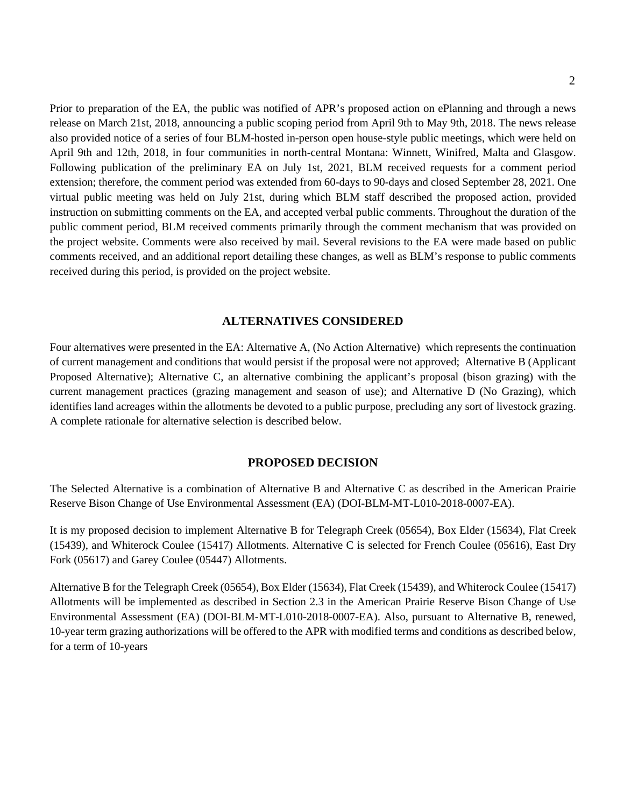Prior to preparation of the EA, the public was notified of APR's proposed action on ePlanning and through a news release on March 21st, 2018, announcing a public scoping period from April 9th to May 9th, 2018. The news release also provided notice of a series of four BLM-hosted in-person open house-style public meetings, which were held on April 9th and 12th, 2018, in four communities in north-central Montana: Winnett, Winifred, Malta and Glasgow. Following publication of the preliminary EA on July 1st, 2021, BLM received requests for a comment period extension; therefore, the comment period was extended from 60-days to 90-days and closed September 28, 2021. One virtual public meeting was held on July 21st, during which BLM staff described the proposed action, provided instruction on submitting comments on the EA, and accepted verbal public comments. Throughout the duration of the public comment period, BLM received comments primarily through the comment mechanism that was provided on the project website. Comments were also received by mail. Several revisions to the EA were made based on public comments received, and an additional report detailing these changes, as well as BLM's response to public comments received during this period, is provided on the project website.

#### **ALTERNATIVES CONSIDERED**

Four alternatives were presented in the EA: Alternative A, (No Action Alternative) which represents the continuation of current management and conditions that would persist if the proposal were not approved; Alternative B (Applicant Proposed Alternative); Alternative C, an alternative combining the applicant's proposal (bison grazing) with the current management practices (grazing management and season of use); and Alternative D (No Grazing), which identifies land acreages within the allotments be devoted to a public purpose, precluding any sort of livestock grazing. A complete rationale for alternative selection is described below.

#### **PROPOSED DECISION**

The Selected Alternative is a combination of Alternative B and Alternative C as described in the American Prairie Reserve Bison Change of Use Environmental Assessment (EA) (DOI-BLM-MT-L010-2018-0007-EA).

It is my proposed decision to implement Alternative B for Telegraph Creek (05654), Box Elder (15634), Flat Creek (15439), and Whiterock Coulee (15417) Allotments. Alternative C is selected for French Coulee (05616), East Dry Fork (05617) and Garey Coulee (05447) Allotments.

Alternative B for the Telegraph Creek (05654), Box Elder (15634), Flat Creek (15439), and Whiterock Coulee (15417) Allotments will be implemented as described in Section 2.3 in the American Prairie Reserve Bison Change of Use Environmental Assessment (EA) (DOI-BLM-MT-L010-2018-0007-EA). Also, pursuant to Alternative B, renewed, 10-year term grazing authorizations will be offered to the APR with modified terms and conditions as described below, for a term of 10-years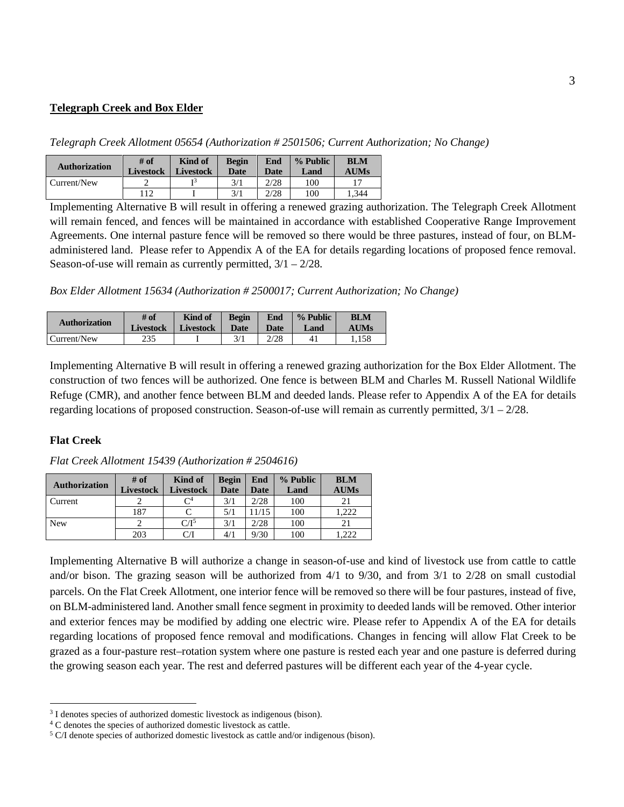#### **Telegraph Creek and Box Elder**

*Telegraph Creek Allotment 05654 (Authorization # 2501506; Current Authorization; No Change)* 

| <b>Authorization</b> | $#$ of<br><b>Livestock</b> | Kind of<br>Livestock | <b>Begin</b><br><b>Date</b> | End<br><b>Date</b> | $%$ Public<br>Land | <b>BLM</b><br><b>AUMs</b> |
|----------------------|----------------------------|----------------------|-----------------------------|--------------------|--------------------|---------------------------|
| Current/New          | -                          |                      | 3/1                         | 2/28               | 100                |                           |
|                      | 112                        |                      | 3/1                         | 2/28               | 100                | .344                      |

Implementing Alternative B will result in offering a renewed grazing authorization. The Telegraph Creek Allotment will remain fenced, and fences will be maintained in accordance with established Cooperative Range Improvement Agreements. One internal pasture fence will be removed so there would be three pastures, instead of four, on BLMadministered land. Please refer to Appendix A of the EA for details regarding locations of proposed fence removal. Season-of-use will remain as currently permitted,  $3/1 - 2/28$ .

*Box Elder Allotment 15634 (Authorization # 2500017; Current Authorization; No Change)* 

| <b>Authorization</b> | # of             | Kind of          | <b>Begin</b> | End  | $\%$ Public | BLM         |
|----------------------|------------------|------------------|--------------|------|-------------|-------------|
|                      | <b>Livestock</b> | <b>Livestock</b> | Date         | Date | Land        | <b>AUMs</b> |
| Current/New          | 235              |                  | 3/1          | 2/28 |             | .158        |

Implementing Alternative B will result in offering a renewed grazing authorization for the Box Elder Allotment. The construction of two fences will be authorized. One fence is between BLM and Charles M. Russell National Wildlife Refuge (CMR), and another fence between BLM and deeded lands. Please refer to Appendix A of the EA for details regarding locations of proposed construction. Season-of-use will remain as currently permitted,  $3/1 - 2/28$ .

#### **Flat Creek**

| <b>Authorization</b> | $#$ of           | Kind of          | <b>Begin</b> | End   | % Public | <b>BLM</b>  |
|----------------------|------------------|------------------|--------------|-------|----------|-------------|
|                      | <b>Livestock</b> | <b>Livestock</b> | <b>Date</b>  | Date  | Land     | <b>AUMs</b> |
| Current              |                  |                  | 3/1          | 2/28  | 100      |             |
|                      | 187              |                  | 5/1          | 11/15 | 100      | .222        |
| <b>New</b>           |                  | $C/I^5$          | 3/1          | 2/28  | 100      |             |
|                      | 203              |                  | 4/1          | 9/30  | 100      | 222         |

*Flat Creek Allotment 15439 (Authorization # 2504616)* 

Implementing Alternative B will authorize a change in season-of-use and kind of livestock use from cattle to cattle and/or bison. The grazing season will be authorized from 4/1 to 9/30, and from 3/1 to 2/28 on small custodial parcels. On the Flat Creek Allotment, one interior fence will be removed so there will be four pastures, instead of five, on BLM-administered land. Another small fence segment in proximity to deeded lands will be removed. Other interior and exterior fences may be modified by adding one electric wire. Please refer to Appendix A of the EA for details regarding locations of proposed fence removal and modifications. Changes in fencing will allow Flat Creek to be grazed as a four-pasture rest–rotation system where one pasture is rested each year and one pasture is deferred during the growing season each year. The rest and deferred pastures will be different each year of the 4-year cycle.

<sup>3</sup> I denotes species of authorized domestic livestock as indigenous (bison).

<sup>4</sup> C denotes the species of authorized domestic livestock as cattle.

<sup>5</sup> C/I denote species of authorized domestic livestock as cattle and/or indigenous (bison).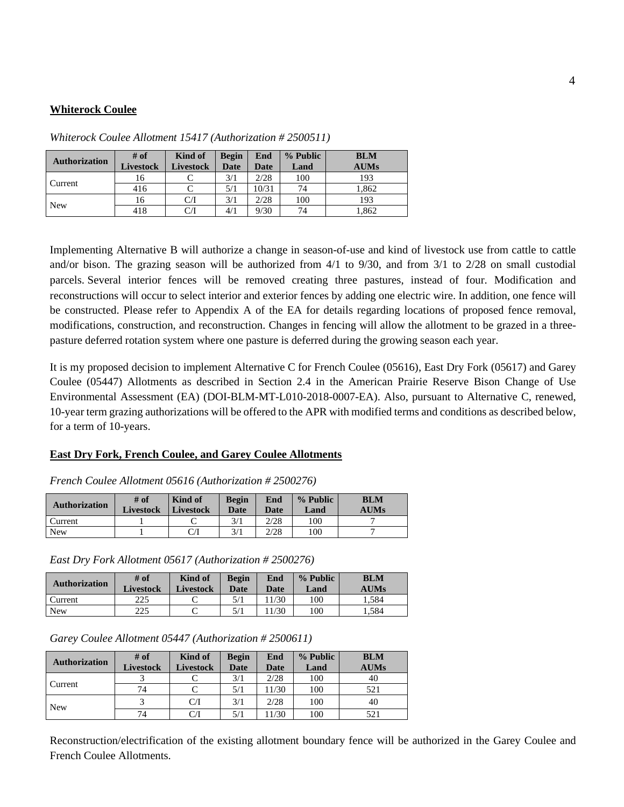### **Whiterock Coulee**

| <b>Authorization</b> | $#$ of<br><b>Livestock</b> | Kind of<br><b>Livestock</b> | <b>Begin</b><br><b>Date</b> | End<br>Date | % Public<br>Land | <b>BLM</b><br><b>AUMs</b> |
|----------------------|----------------------------|-----------------------------|-----------------------------|-------------|------------------|---------------------------|
| Current              | 16                         |                             | 3/1                         | 2/28        | 100              | 193                       |
|                      | 416                        |                             | 5/1                         | 10/31       | 74               | 1,862                     |
| <b>New</b>           | 16                         | CЛ                          | 3/1                         | 2/28        | 100              | 193                       |
|                      | 418                        | CЛ                          | 4/1                         | 9/30        | 74               | 1,862                     |

*Whiterock Coulee Allotment 15417 (Authorization # 2500511)* 

Implementing Alternative B will authorize a change in season-of-use and kind of livestock use from cattle to cattle and/or bison. The grazing season will be authorized from 4/1 to 9/30, and from 3/1 to 2/28 on small custodial parcels. Several interior fences will be removed creating three pastures, instead of four. Modification and reconstructions will occur to select interior and exterior fences by adding one electric wire. In addition, one fence will be constructed. Please refer to Appendix A of the EA for details regarding locations of proposed fence removal, modifications, construction, and reconstruction. Changes in fencing will allow the allotment to be grazed in a threepasture deferred rotation system where one pasture is deferred during the growing season each year.

It is my proposed decision to implement Alternative C for French Coulee (05616), East Dry Fork (05617) and Garey Coulee (05447) Allotments as described in Section 2.4 in the American Prairie Reserve Bison Change of Use Environmental Assessment (EA) (DOI-BLM-MT-L010-2018-0007-EA). Also, pursuant to Alternative C, renewed, 10-year term grazing authorizations will be offered to the APR with modified terms and conditions as described below, for a term of 10-years.

## **East Dry Fork, French Coulee, and Garey Coulee Allotments**

| <b>Authorization</b> | # of<br><b>Livestock</b> | Kind of<br><b>Livestock</b> | <b>Begin</b><br>Date | End<br><b>Date</b> | % Public<br>Land | <b>BLM</b><br><b>AUMs</b> |
|----------------------|--------------------------|-----------------------------|----------------------|--------------------|------------------|---------------------------|
| Current              |                          |                             | 3/1                  | 2/28               | 100              |                           |
| New                  |                          |                             |                      | 2/28               | 100              |                           |

*French Coulee Allotment 05616 (Authorization # 2500276)* 

*East Dry Fork Allotment 05617 (Authorization # 2500276)* 

| <b>Authorization</b> | # of<br><b>Livestock</b> | Kind of<br>Livestock | Begin<br>Date | End<br><b>Date</b> | $%$ Public<br>Land | <b>BLM</b><br><b>AUMs</b> |
|----------------------|--------------------------|----------------------|---------------|--------------------|--------------------|---------------------------|
| Current              | 225                      |                      |               | 1/30               | 100                | 1.584                     |
| <b>New</b>           | 225                      |                      |               | 1/30               | 100                | . . 584                   |

*Garey Coulee Allotment 05447 (Authorization # 2500611)* 

| <b>Authorization</b> | # of             | Kind of   | <b>Begin</b> | End   | % Public | <b>BLM</b>  |
|----------------------|------------------|-----------|--------------|-------|----------|-------------|
|                      | <b>Livestock</b> | Livestock | <b>Date</b>  | Date  | Land     | <b>AUMs</b> |
| Current              |                  |           | 3/1          | 2/28  | 100      | 40          |
|                      | 74               |           | 5/1          | 11/30 | 100      | 521         |
| <b>New</b>           |                  | C/I       | 3/1          | 2/28  | 100      | 40          |
|                      | 74               | C/I       | 5/1          | 11/30 | 100      | 521         |

Reconstruction/electrification of the existing allotment boundary fence will be authorized in the Garey Coulee and French Coulee Allotments.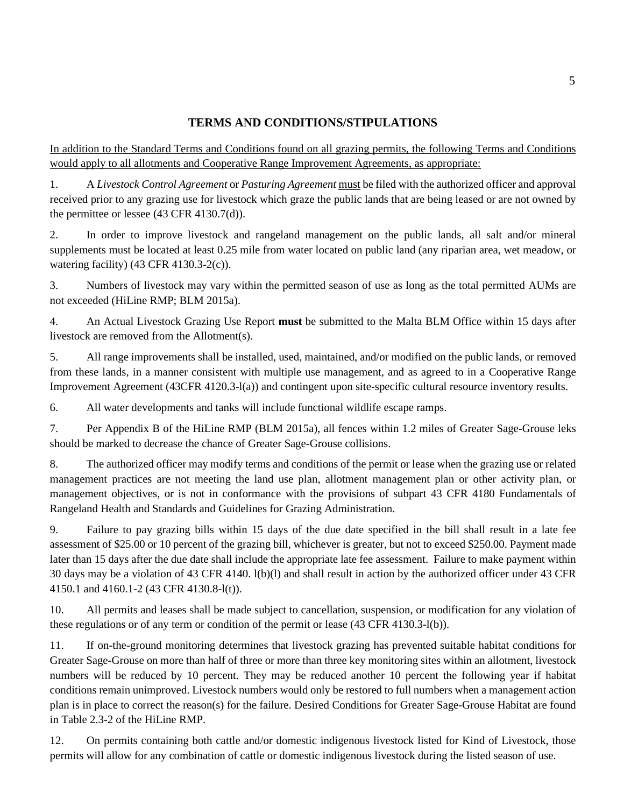# **TERMS AND CONDITIONS/STIPULATIONS**

In addition to the Standard Terms and Conditions found on all grazing permits, the following Terms and Conditions would apply to all allotments and Cooperative Range Improvement Agreements, as appropriate:

1. A *Livestock Control Agreement* or *Pasturing Agreement* must be filed with the authorized officer and approval received prior to any grazing use for livestock which graze the public lands that are being leased or are not owned by the permittee or lessee (43 CFR 4130.7(d)).

2. In order to improve livestock and rangeland management on the public lands, all salt and/or mineral supplements must be located at least 0.25 mile from water located on public land (any riparian area, wet meadow, or watering facility) (43 CFR 4130.3-2(c)).

3. Numbers of livestock may vary within the permitted season of use as long as the total permitted AUMs are not exceeded (HiLine RMP; BLM 2015a).

4. An Actual Livestock Grazing Use Report **must** be submitted to the Malta BLM Office within 15 days after livestock are removed from the Allotment(s).

5. All range improvements shall be installed, used, maintained, and/or modified on the public lands, or removed from these lands, in a manner consistent with multiple use management, and as agreed to in a Cooperative Range Improvement Agreement (43CFR 4120.3-l(a)) and contingent upon site-specific cultural resource inventory results.

6. All water developments and tanks will include functional wildlife escape ramps.

7. Per Appendix B of the HiLine RMP (BLM 2015a), all fences within 1.2 miles of Greater Sage-Grouse leks should be marked to decrease the chance of Greater Sage-Grouse collisions.

8. The authorized officer may modify terms and conditions of the permit or lease when the grazing use or related management practices are not meeting the land use plan, allotment management plan or other activity plan, or management objectives, or is not in conformance with the provisions of subpart 43 CFR 4180 Fundamentals of Rangeland Health and Standards and Guidelines for Grazing Administration.

9. Failure to pay grazing bills within 15 days of the due date specified in the bill shall result in a late fee assessment of \$25.00 or 10 percent of the grazing bill, whichever is greater, but not to exceed \$250.00. Payment made later than 15 days after the due date shall include the appropriate late fee assessment. Failure to make payment within 30 days may be a violation of 43 CFR 4140. l(b)(l) and shall result in action by the authorized officer under 43 CFR 4150.1 and 4160.1-2 (43 CFR 4130.8-l(t)).

10. All permits and leases shall be made subject to cancellation, suspension, or modification for any violation of these regulations or of any term or condition of the permit or lease (43 CFR 4130.3-l(b)).

11. If on-the-ground monitoring determines that livestock grazing has prevented suitable habitat conditions for Greater Sage-Grouse on more than half of three or more than three key monitoring sites within an allotment, livestock numbers will be reduced by 10 percent. They may be reduced another 10 percent the following year if habitat conditions remain unimproved. Livestock numbers would only be restored to full numbers when a management action plan is in place to correct the reason(s) for the failure. Desired Conditions for Greater Sage-Grouse Habitat are found in Table 2.3-2 of the HiLine RMP.

12. On permits containing both cattle and/or domestic indigenous livestock listed for Kind of Livestock, those permits will allow for any combination of cattle or domestic indigenous livestock during the listed season of use.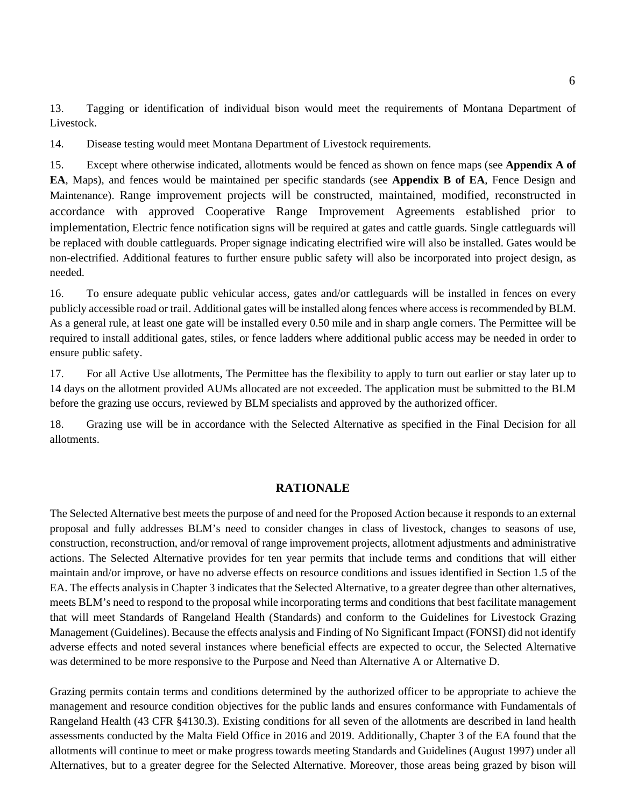13. Tagging or identification of individual bison would meet the requirements of Montana Department of Livestock.

14. Disease testing would meet Montana Department of Livestock requirements.

15. Except where otherwise indicated, allotments would be fenced as shown on fence maps (see **Appendix A of EA**, Maps), and fences would be maintained per specific standards (see **Appendix B of EA**, Fence Design and Maintenance). Range improvement projects will be constructed, maintained, modified, reconstructed in accordance with approved Cooperative Range Improvement Agreements established prior to implementation, Electric fence notification signs will be required at gates and cattle guards. Single cattleguards will be replaced with double cattleguards. Proper signage indicating electrified wire will also be installed. Gates would be non-electrified. Additional features to further ensure public safety will also be incorporated into project design, as needed.

16. To ensure adequate public vehicular access, gates and/or cattleguards will be installed in fences on every publicly accessible road or trail. Additional gates will be installed along fences where access is recommended by BLM. As a general rule, at least one gate will be installed every 0.50 mile and in sharp angle corners. The Permittee will be required to install additional gates, stiles, or fence ladders where additional public access may be needed in order to ensure public safety.

17. For all Active Use allotments, The Permittee has the flexibility to apply to turn out earlier or stay later up to 14 days on the allotment provided AUMs allocated are not exceeded. The application must be submitted to the BLM before the grazing use occurs, reviewed by BLM specialists and approved by the authorized officer.

18. Grazing use will be in accordance with the Selected Alternative as specified in the Final Decision for all allotments.

#### **RATIONALE**

The Selected Alternative best meets the purpose of and need for the Proposed Action because it responds to an external proposal and fully addresses BLM's need to consider changes in class of livestock, changes to seasons of use, construction, reconstruction, and/or removal of range improvement projects, allotment adjustments and administrative actions. The Selected Alternative provides for ten year permits that include terms and conditions that will either maintain and/or improve, or have no adverse effects on resource conditions and issues identified in Section 1.5 of the EA. The effects analysis in Chapter 3 indicates that the Selected Alternative, to a greater degree than other alternatives, meets BLM's need to respond to the proposal while incorporating terms and conditions that best facilitate management that will meet Standards of Rangeland Health (Standards) and conform to the Guidelines for Livestock Grazing Management (Guidelines). Because the effects analysis and Finding of No Significant Impact (FONSI) did not identify adverse effects and noted several instances where beneficial effects are expected to occur, the Selected Alternative was determined to be more responsive to the Purpose and Need than Alternative A or Alternative D.

Grazing permits contain terms and conditions determined by the authorized officer to be appropriate to achieve the management and resource condition objectives for the public lands and ensures conformance with Fundamentals of Rangeland Health (43 CFR §4130.3). Existing conditions for all seven of the allotments are described in land health assessments conducted by the Malta Field Office in 2016 and 2019. Additionally, Chapter 3 of the EA found that the allotments will continue to meet or make progress towards meeting Standards and Guidelines (August 1997) under all Alternatives, but to a greater degree for the Selected Alternative. Moreover, those areas being grazed by bison will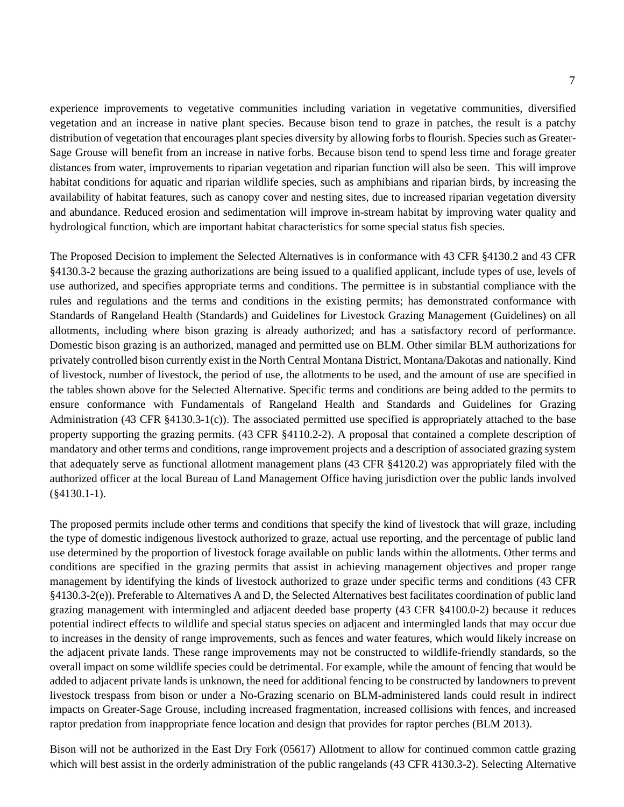experience improvements to vegetative communities including variation in vegetative communities, diversified vegetation and an increase in native plant species. Because bison tend to graze in patches, the result is a patchy distribution of vegetation that encourages plant species diversity by allowing forbs to flourish. Species such as Greater-Sage Grouse will benefit from an increase in native forbs. Because bison tend to spend less time and forage greater distances from water, improvements to riparian vegetation and riparian function will also be seen. This will improve habitat conditions for aquatic and riparian wildlife species, such as amphibians and riparian birds, by increasing the availability of habitat features, such as canopy cover and nesting sites, due to increased riparian vegetation diversity and abundance. Reduced erosion and sedimentation will improve in-stream habitat by improving water quality and hydrological function, which are important habitat characteristics for some special status fish species.

The Proposed Decision to implement the Selected Alternatives is in conformance with 43 CFR §4130.2 and 43 CFR §4130.3-2 because the grazing authorizations are being issued to a qualified applicant, include types of use, levels of use authorized, and specifies appropriate terms and conditions. The permittee is in substantial compliance with the rules and regulations and the terms and conditions in the existing permits; has demonstrated conformance with Standards of Rangeland Health (Standards) and Guidelines for Livestock Grazing Management (Guidelines) on all allotments, including where bison grazing is already authorized; and has a satisfactory record of performance. Domestic bison grazing is an authorized, managed and permitted use on BLM. Other similar BLM authorizations for privately controlled bison currently exist in the North Central Montana District, Montana/Dakotas and nationally. Kind of livestock, number of livestock, the period of use, the allotments to be used, and the amount of use are specified in the tables shown above for the Selected Alternative. Specific terms and conditions are being added to the permits to ensure conformance with Fundamentals of Rangeland Health and Standards and Guidelines for Grazing Administration (43 CFR §4130.3-1(c)). The associated permitted use specified is appropriately attached to the base property supporting the grazing permits. (43 CFR §4110.2-2). A proposal that contained a complete description of mandatory and other terms and conditions, range improvement projects and a description of associated grazing system that adequately serve as functional allotment management plans (43 CFR §4120.2) was appropriately filed with the authorized officer at the local Bureau of Land Management Office having jurisdiction over the public lands involved (§4130.1-1).

The proposed permits include other terms and conditions that specify the kind of livestock that will graze, including the type of domestic indigenous livestock authorized to graze, actual use reporting, and the percentage of public land use determined by the proportion of livestock forage available on public lands within the allotments. Other terms and conditions are specified in the grazing permits that assist in achieving management objectives and proper range management by identifying the kinds of livestock authorized to graze under specific terms and conditions (43 CFR §4130.3-2(e)). Preferable to Alternatives A and D, the Selected Alternatives best facilitates coordination of public land grazing management with intermingled and adjacent deeded base property (43 CFR §4100.0-2) because it reduces potential indirect effects to wildlife and special status species on adjacent and intermingled lands that may occur due to increases in the density of range improvements, such as fences and water features, which would likely increase on the adjacent private lands. These range improvements may not be constructed to wildlife-friendly standards, so the overall impact on some wildlife species could be detrimental. For example, while the amount of fencing that would be added to adjacent private lands is unknown, the need for additional fencing to be constructed by landowners to prevent livestock trespass from bison or under a No-Grazing scenario on BLM-administered lands could result in indirect impacts on Greater-Sage Grouse, including increased fragmentation, increased collisions with fences, and increased raptor predation from inappropriate fence location and design that provides for raptor perches (BLM 2013).

Bison will not be authorized in the East Dry Fork (05617) Allotment to allow for continued common cattle grazing which will best assist in the orderly administration of the public rangelands (43 CFR 4130.3-2). Selecting Alternative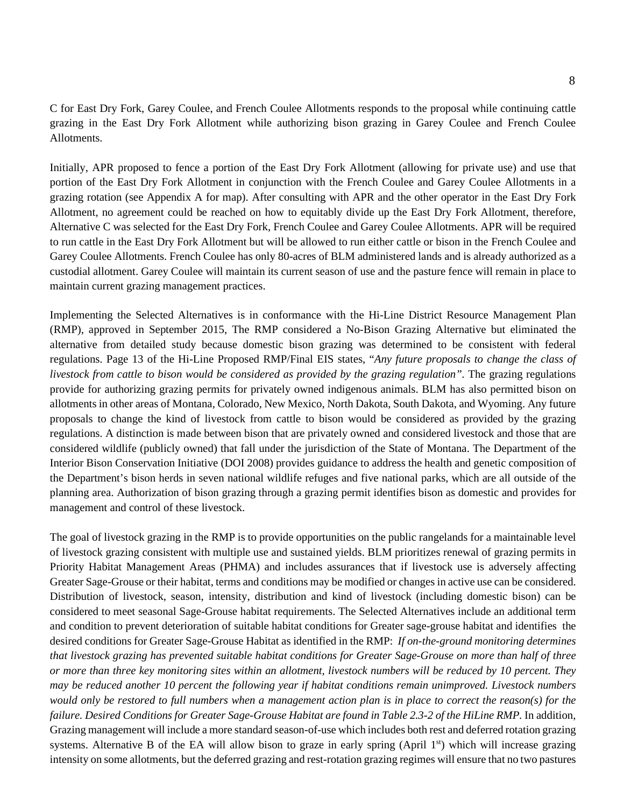C for East Dry Fork, Garey Coulee, and French Coulee Allotments responds to the proposal while continuing cattle grazing in the East Dry Fork Allotment while authorizing bison grazing in Garey Coulee and French Coulee Allotments.

Initially, APR proposed to fence a portion of the East Dry Fork Allotment (allowing for private use) and use that portion of the East Dry Fork Allotment in conjunction with the French Coulee and Garey Coulee Allotments in a grazing rotation (see Appendix A for map). After consulting with APR and the other operator in the East Dry Fork Allotment, no agreement could be reached on how to equitably divide up the East Dry Fork Allotment, therefore, Alternative C was selected for the East Dry Fork, French Coulee and Garey Coulee Allotments. APR will be required to run cattle in the East Dry Fork Allotment but will be allowed to run either cattle or bison in the French Coulee and Garey Coulee Allotments. French Coulee has only 80-acres of BLM administered lands and is already authorized as a custodial allotment. Garey Coulee will maintain its current season of use and the pasture fence will remain in place to maintain current grazing management practices.

Implementing the Selected Alternatives is in conformance with the Hi-Line District Resource Management Plan (RMP), approved in September 2015, The RMP considered a No-Bison Grazing Alternative but eliminated the alternative from detailed study because domestic bison grazing was determined to be consistent with federal regulations. Page 13 of the Hi-Line Proposed RMP/Final EIS states, "*Any future proposals to change the class of livestock from cattle to bison would be considered as provided by the grazing regulation".* The grazing regulations provide for authorizing grazing permits for privately owned indigenous animals. BLM has also permitted bison on allotments in other areas of Montana, Colorado, New Mexico, North Dakota, South Dakota, and Wyoming. Any future proposals to change the kind of livestock from cattle to bison would be considered as provided by the grazing regulations. A distinction is made between bison that are privately owned and considered livestock and those that are considered wildlife (publicly owned) that fall under the jurisdiction of the State of Montana. The Department of the Interior Bison Conservation Initiative (DOI 2008) provides guidance to address the health and genetic composition of the Department's bison herds in seven national wildlife refuges and five national parks, which are all outside of the planning area. Authorization of bison grazing through a grazing permit identifies bison as domestic and provides for management and control of these livestock.

The goal of livestock grazing in the RMP is to provide opportunities on the public rangelands for a maintainable level of livestock grazing consistent with multiple use and sustained yields. BLM prioritizes renewal of grazing permits in Priority Habitat Management Areas (PHMA) and includes assurances that if livestock use is adversely affecting Greater Sage-Grouse or their habitat, terms and conditions may be modified or changes in active use can be considered. Distribution of livestock, season, intensity, distribution and kind of livestock (including domestic bison) can be considered to meet seasonal Sage-Grouse habitat requirements. The Selected Alternatives include an additional term and condition to prevent deterioration of suitable habitat conditions for Greater sage-grouse habitat and identifies the desired conditions for Greater Sage-Grouse Habitat as identified in the RMP: *If on-the-ground monitoring determines that livestock grazing has prevented suitable habitat conditions for Greater Sage-Grouse on more than half of three or more than three key monitoring sites within an allotment, livestock numbers will be reduced by 10 percent. They may be reduced another 10 percent the following year if habitat conditions remain unimproved. Livestock numbers*  would only be restored to full numbers when a management action plan is in place to correct the reason(s) for the *failure. Desired Conditions for Greater Sage-Grouse Habitat are found in Table 2.3-2 of the HiLine RMP.* In addition, Grazing management will include a more standard season-of-use which includes both rest and deferred rotation grazing systems. Alternative B of the EA will allow bison to graze in early spring (April  $1<sup>st</sup>$ ) which will increase grazing intensity on some allotments, but the deferred grazing and rest-rotation grazing regimes will ensure that no two pastures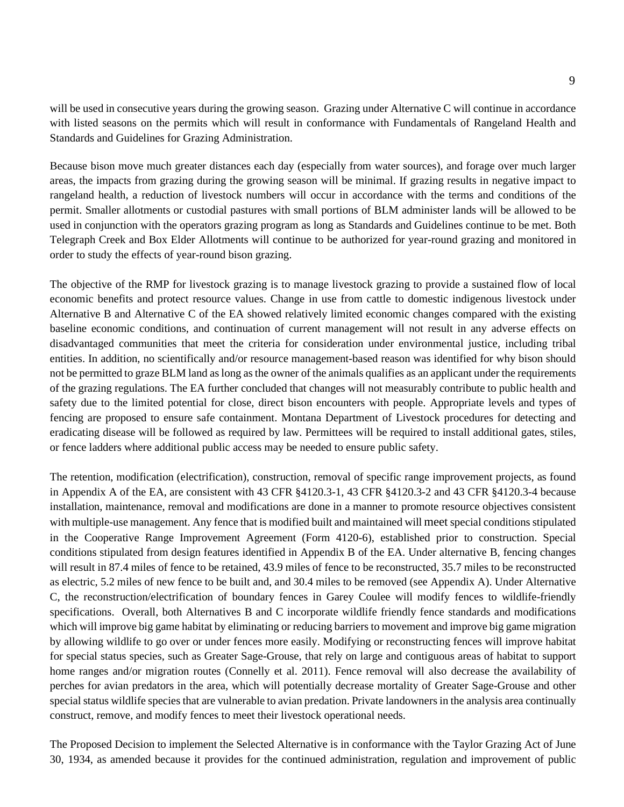will be used in consecutive years during the growing season. Grazing under Alternative C will continue in accordance with listed seasons on the permits which will result in conformance with Fundamentals of Rangeland Health and Standards and Guidelines for Grazing Administration.

Because bison move much greater distances each day (especially from water sources), and forage over much larger areas, the impacts from grazing during the growing season will be minimal. If grazing results in negative impact to rangeland health, a reduction of livestock numbers will occur in accordance with the terms and conditions of the permit. Smaller allotments or custodial pastures with small portions of BLM administer lands will be allowed to be used in conjunction with the operators grazing program as long as Standards and Guidelines continue to be met. Both Telegraph Creek and Box Elder Allotments will continue to be authorized for year-round grazing and monitored in order to study the effects of year-round bison grazing.

The objective of the RMP for livestock grazing is to manage livestock grazing to provide a sustained flow of local economic benefits and protect resource values. Change in use from cattle to domestic indigenous livestock under Alternative B and Alternative C of the EA showed relatively limited economic changes compared with the existing baseline economic conditions, and continuation of current management will not result in any adverse effects on disadvantaged communities that meet the criteria for consideration under environmental justice, including tribal entities. In addition, no scientifically and/or resource management-based reason was identified for why bison should not be permitted to graze BLM land as long as the owner of the animals qualifies as an applicant under the requirements of the grazing regulations. The EA further concluded that changes will not measurably contribute to public health and safety due to the limited potential for close, direct bison encounters with people. Appropriate levels and types of fencing are proposed to ensure safe containment. Montana Department of Livestock procedures for detecting and eradicating disease will be followed as required by law. Permittees will be required to install additional gates, stiles, or fence ladders where additional public access may be needed to ensure public safety.

The retention, modification (electrification), construction, removal of specific range improvement projects, as found in Appendix A of the EA, are consistent with 43 CFR §4120.3-1, 43 CFR §4120.3-2 and 43 CFR §4120.3-4 because installation, maintenance, removal and modifications are done in a manner to promote resource objectives consistent with multiple-use management. Any fence that is modified built and maintained will meet special conditions stipulated in the Cooperative Range Improvement Agreement (Form 4120-6), established prior to construction. Special conditions stipulated from design features identified in Appendix B of the EA. Under alternative B, fencing changes will result in 87.4 miles of fence to be retained, 43.9 miles of fence to be reconstructed, 35.7 miles to be reconstructed as electric, 5.2 miles of new fence to be built and, and 30.4 miles to be removed (see Appendix A). Under Alternative C, the reconstruction/electrification of boundary fences in Garey Coulee will modify fences to wildlife-friendly specifications. Overall, both Alternatives B and C incorporate wildlife friendly fence standards and modifications which will improve big game habitat by eliminating or reducing barriers to movement and improve big game migration by allowing wildlife to go over or under fences more easily. Modifying or reconstructing fences will improve habitat for special status species, such as Greater Sage-Grouse, that rely on large and contiguous areas of habitat to support home ranges and/or migration routes (Connelly et al. 2011). Fence removal will also decrease the availability of perches for avian predators in the area, which will potentially decrease mortality of Greater Sage-Grouse and other special status wildlife species that are vulnerable to avian predation. Private landowners in the analysis area continually construct, remove, and modify fences to meet their livestock operational needs.

The Proposed Decision to implement the Selected Alternative is in conformance with the Taylor Grazing Act of June 30, 1934, as amended because it provides for the continued administration, regulation and improvement of public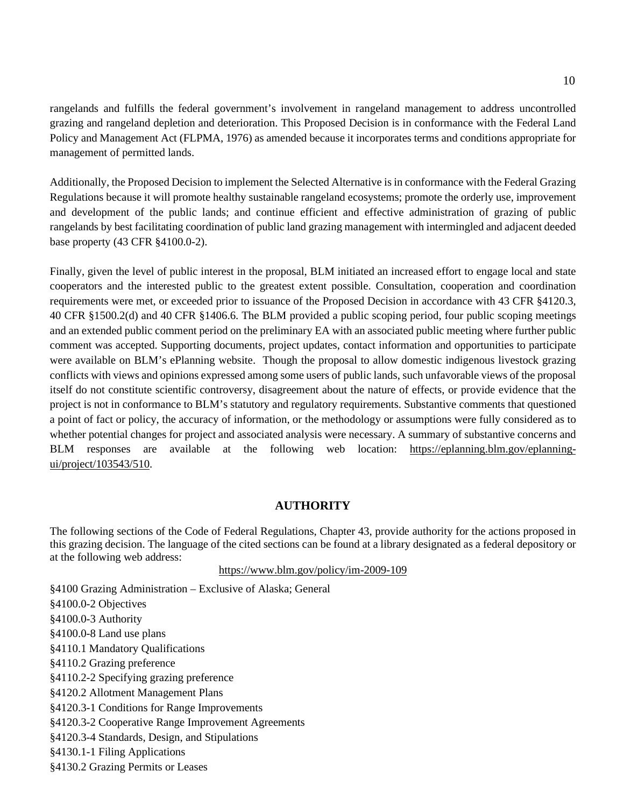rangelands and fulfills the federal government's involvement in rangeland management to address uncontrolled grazing and rangeland depletion and deterioration. This Proposed Decision is in conformance with the Federal Land Policy and Management Act (FLPMA, 1976) as amended because it incorporates terms and conditions appropriate for management of permitted lands.

Additionally, the Proposed Decision to implement the Selected Alternative is in conformance with the Federal Grazing Regulations because it will promote healthy sustainable rangeland ecosystems; promote the orderly use, improvement and development of the public lands; and continue efficient and effective administration of grazing of public rangelands by best facilitating coordination of public land grazing management with intermingled and adjacent deeded base property (43 CFR §4100.0-2).

Finally, given the level of public interest in the proposal, BLM initiated an increased effort to engage local and state cooperators and the interested public to the greatest extent possible. Consultation, cooperation and coordination requirements were met, or exceeded prior to issuance of the Proposed Decision in accordance with 43 CFR §4120.3, 40 CFR §1500.2(d) and 40 CFR §1406.6. The BLM provided a public scoping period, four public scoping meetings and an extended public comment period on the preliminary EA with an associated public meeting where further public comment was accepted. Supporting documents, project updates, contact information and opportunities to participate were available on BLM's ePlanning website. Though the proposal to allow domestic indigenous livestock grazing conflicts with views and opinions expressed among some users of public lands, such unfavorable views of the proposal itself do not constitute scientific controversy, disagreement about the nature of effects, or provide evidence that the project is not in conformance to BLM's statutory and regulatory requirements. Substantive comments that questioned a point of fact or policy, the accuracy of information, or the methodology or assumptions were fully considered as to whether potential changes for project and associated analysis were necessary. A summary of substantive concerns and BLM responses are available at the following web location: <https://eplanning.blm.gov/eplanning>ui/project/103543/510.

#### **AUTHORITY**

The following sections of the Code of Federal Regulations, Chapter 43, provide authority for the actions proposed in this grazing decision. The language of the cited sections can be found at a library designated as a federal depository or at the following web address:

#### <https://www.blm.gov/policy/im-2009-109>

§4100 Grazing Administration – Exclusive of Alaska; General §4100.0-2 Objectives §4100.0-3 Authority §4100.0-8 Land use plans §4110.1 Mandatory Qualifications §4110.2 Grazing preference §4110.2-2 Specifying grazing preference §4120.2 Allotment Management Plans §4120.3-1 Conditions for Range Improvements §4120.3-2 Cooperative Range Improvement Agreements §4120.3-4 Standards, Design, and Stipulations §4130.1-1 Filing Applications §4130.2 Grazing Permits or Leases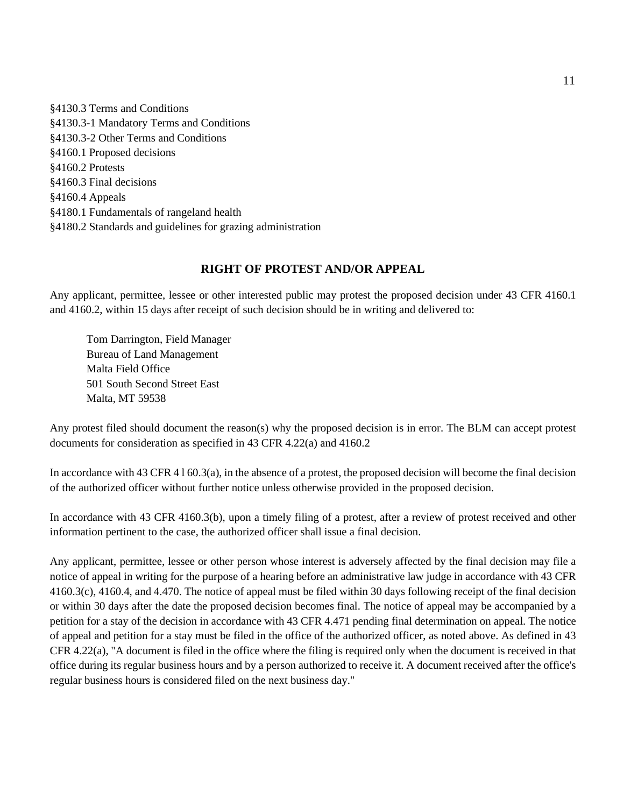§4130.3 Terms and Conditions §4130.3-1 Mandatory Terms and Conditions §4130.3-2 Other Terms and Conditions §4160.1 Proposed decisions §4160.2 Protests §4160.3 Final decisions §4160.4 Appeals §4180.1 Fundamentals of rangeland health §4180.2 Standards and guidelines for grazing administration

## **RIGHT OF PROTEST AND/OR APPEAL**

Any applicant, permittee, lessee or other interested public may protest the proposed decision under 43 CFR 4160.1 and 4160.2, within 15 days after receipt of such decision should be in writing and delivered to:

Tom Darrington, Field Manager Bureau of Land Management Malta Field Office 501 South Second Street East Malta, MT 59538

Any protest filed should document the reason(s) why the proposed decision is in error. The BLM can accept protest documents for consideration as specified in 43 CFR 4.22(a) and 4160.2

In accordance with 43 CFR 4 l 60.3(a), in the absence of a protest, the proposed decision will become the final decision of the authorized officer without further notice unless otherwise provided in the proposed decision.

In accordance with 43 CFR 4160.3(b), upon a timely filing of a protest, after a review of protest received and other information pertinent to the case, the authorized officer shall issue a final decision.

Any applicant, permittee, lessee or other person whose interest is adversely affected by the final decision may file a notice of appeal in writing for the purpose of a hearing before an administrative law judge in accordance with 43 CFR 4160.3(c), 4160.4, and 4.470. The notice of appeal must be filed within 30 days following receipt of the final decision or within 30 days after the date the proposed decision becomes final. The notice of appeal may be accompanied by a petition for a stay of the decision in accordance with 43 CFR 4.471 pending final determination on appeal. The notice of appeal and petition for a stay must be filed in the office of the authorized officer, as noted above. As defined in 43 CFR 4.22(a), "A document is filed in the office where the filing is required only when the document is received in that office during its regular business hours and by a person authorized to receive it. A document received after the office's regular business hours is considered filed on the next business day."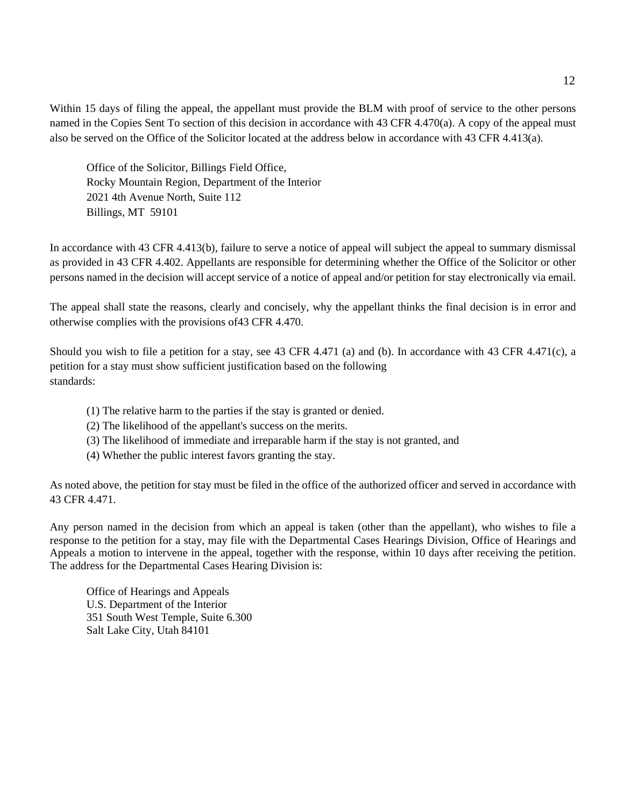Within 15 days of filing the appeal, the appellant must provide the BLM with proof of service to the other persons named in the Copies Sent To section of this decision in accordance with 43 CFR 4.470(a). A copy of the appeal must also be served on the Office of the Solicitor located at the address below in accordance with 43 CFR 4.413(a).

Office of the Solicitor, Billings Field Office, Rocky Mountain Region, Department of the Interior 2021 4th Avenue North, Suite 112 Billings, MT 59101

In accordance with 43 CFR 4.413(b), failure to serve a notice of appeal will subject the appeal to summary dismissal as provided in 43 CFR 4.402. Appellants are responsible for determining whether the Office of the Solicitor or other persons named in the decision will accept service of a notice of appeal and/or petition for stay electronically via email.

The appeal shall state the reasons, clearly and concisely, why the appellant thinks the final decision is in error and otherwise complies with the provisions of43 CFR 4.470.

Should you wish to file a petition for a stay, see 43 CFR 4.471 (a) and (b). In accordance with 43 CFR 4.471(c), a petition for a stay must show sufficient justification based on the following standards:

- (1) The relative harm to the parties if the stay is granted or denied.
- (2) The likelihood of the appellant's success on the merits.
- (3) The likelihood of immediate and irreparable harm if the stay is not granted, and
- (4) Whether the public interest favors granting the stay.

As noted above, the petition for stay must be filed in the office of the authorized officer and served in accordance with 43 CFR 4.471.

Any person named in the decision from which an appeal is taken (other than the appellant), who wishes to file a response to the petition for a stay, may file with the Departmental Cases Hearings Division, Office of Hearings and Appeals a motion to intervene in the appeal, together with the response, within 10 days after receiving the petition. The address for the Departmental Cases Hearing Division is:

Office of Hearings and Appeals U.S. Department of the Interior 351 South West Temple, Suite 6.300 Salt Lake City, Utah 84101